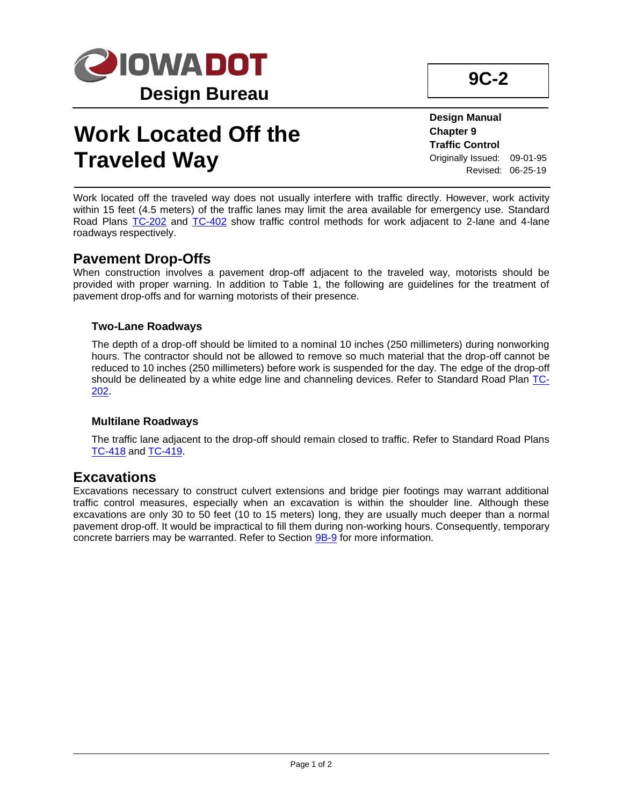

# **Work Located Off the Traveled Way**

**9C-2**

**Design Manual Chapter 9 Traffic Control** Originally Issued: 09-01-95 Revised: 06-25-19

Work located off the traveled way does not usually interfere with traffic directly. However, work activity within 15 feet (4.5 meters) of the traffic lanes may limit the area available for emergency use. Standard Road Plans [TC-202](../SRP/IndividualStandards/tc202.pdf) and [TC-402](../SRP/IndividualStandards/tc402.pdf) show traffic control methods for work adjacent to 2-lane and 4-lane roadways respectively.

## **Pavement Drop-Offs**

When construction involves a pavement drop-off adjacent to the traveled way, motorists should be provided with proper warning. In addition to Table 1, the following are guidelines for the treatment of pavement drop-offs and for warning motorists of their presence.

#### **Two-Lane Roadways**

The depth of a drop-off should be limited to a nominal 10 inches (250 millimeters) during nonworking hours. The contractor should not be allowed to remove so much material that the drop-off cannot be reduced to 10 inches (250 millimeters) before work is suspended for the day. The edge of the drop-off should be delineated by a white edge line and channeling devices. Refer to Standard Road Plan [TC-](../SRP/IndividualStandards/tc202.pdf)[202.](../SRP/IndividualStandards/tc202.pdf)

#### **Multilane Roadways**

The traffic lane adjacent to the drop-off should remain closed to traffic. Refer to Standard Road Plans [TC-418](../SRP/IndividualStandards/tc418.pdf) an[d TC-419.](../SRP/IndividualStandards/tc419.pdf)

### **Excavations**

Excavations necessary to construct culvert extensions and bridge pier footings may warrant additional traffic control measures, especially when an excavation is within the shoulder line. Although these excavations are only 30 to 50 feet (10 to 15 meters) long, they are usually much deeper than a normal pavement drop-off. It would be impractical to fill them during non-working hours. Consequently, temporary concrete barriers may be warranted. Refer to Section [9B-9](09b-09.pdf) for more information.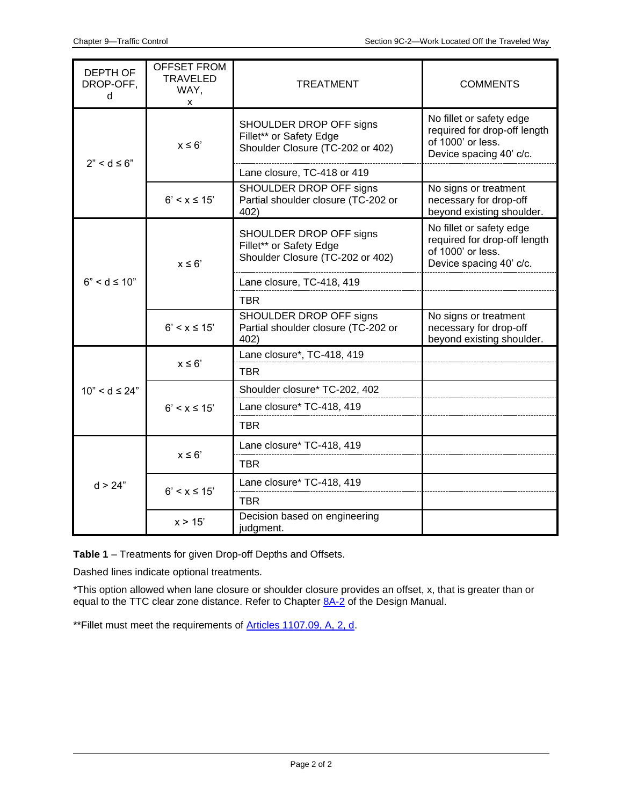| <b>DEPTH OF</b><br>DROP-OFF,<br>d | <b>OFFSET FROM</b><br><b>TRAVELED</b><br>WAY,<br>X | <b>TREATMENT</b>                                                                       | <b>COMMENTS</b>                                                                                          |
|-----------------------------------|----------------------------------------------------|----------------------------------------------------------------------------------------|----------------------------------------------------------------------------------------------------------|
| $2" < d \leq 6"$                  | $x \leq 6'$                                        | SHOULDER DROP OFF signs<br>Fillet** or Safety Edge<br>Shoulder Closure (TC-202 or 402) | No fillet or safety edge<br>required for drop-off length<br>of 1000' or less.<br>Device spacing 40' c/c. |
|                                   |                                                    | Lane closure, TC-418 or 419                                                            |                                                                                                          |
|                                   | $6' < x \le 15'$                                   | SHOULDER DROP OFF signs<br>Partial shoulder closure (TC-202 or<br>402)                 | No signs or treatment<br>necessary for drop-off<br>beyond existing shoulder.                             |
| $6" < d \le 10"$                  | $x \leq 6$                                         | SHOULDER DROP OFF signs<br>Fillet** or Safety Edge<br>Shoulder Closure (TC-202 or 402) | No fillet or safety edge<br>required for drop-off length<br>of 1000' or less.<br>Device spacing 40' c/c. |
|                                   |                                                    | Lane closure, TC-418, 419                                                              |                                                                                                          |
|                                   |                                                    | <b>TBR</b>                                                                             |                                                                                                          |
|                                   | $6' < x \le 15'$                                   | SHOULDER DROP OFF signs<br>Partial shoulder closure (TC-202 or<br>402)                 | No signs or treatment<br>necessary for drop-off<br>beyond existing shoulder.                             |
|                                   | $x \leq 6'$                                        | Lane closure*, TC-418, 419                                                             |                                                                                                          |
| $10" < d \leq 24"$                |                                                    | <b>TBR</b>                                                                             |                                                                                                          |
|                                   | $6' < x \le 15'$                                   | Shoulder closure* TC-202, 402                                                          |                                                                                                          |
|                                   |                                                    | Lane closure* TC-418, 419                                                              |                                                                                                          |
|                                   |                                                    | <b>TBR</b>                                                                             |                                                                                                          |
| d > 24"                           | $x \leq 6'$                                        | Lane closure* TC-418, 419                                                              |                                                                                                          |
|                                   |                                                    | <b>TBR</b>                                                                             |                                                                                                          |
|                                   | $6' < x \le 15'$                                   | Lane closure* TC-418, 419                                                              |                                                                                                          |
|                                   |                                                    | <b>TBR</b>                                                                             |                                                                                                          |
|                                   | x > 15'                                            | Decision based on engineering<br>judgment.                                             |                                                                                                          |

**Table 1** – Treatments for given Drop-off Depths and Offsets.

Dashed lines indicate optional treatments.

\*This option allowed when lane closure or shoulder closure provides an offset, x, that is greater than or equal to the TTC clear zone distance. Refer to Chapter [8A-2](08a-02.pdf) of the Design Manual.

\*\*Fillet must meet the requirements of **Articles 1107.09, A, 2, d**.